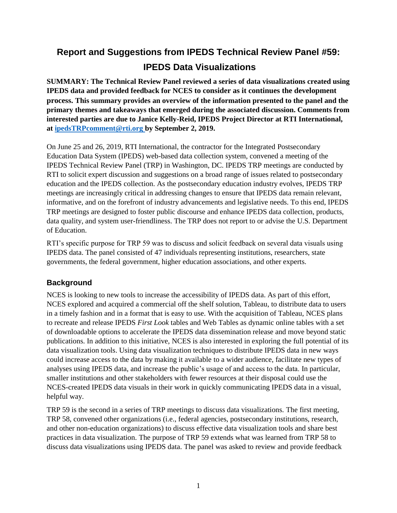# **Report and Suggestions from IPEDS Technical Review Panel #59: IPEDS Data Visualizations**

**SUMMARY: The Technical Review Panel reviewed a series of data visualizations created using IPEDS data and provided feedback for NCES to consider as it continues the development process. This summary provides an overview of the information presented to the panel and the primary themes and takeaways that emerged during the associated discussion. Comments from interested parties are due to Janice Kelly-Reid, IPEDS Project Director at RTI International, at [ipedsTRPcomment@rti.org](mailto:ipedsTRPcomment@rti.org) by September 2, 2019.**

On June 25 and 26, 2019, RTI International, the contractor for the Integrated Postsecondary Education Data System (IPEDS) web-based data collection system, convened a meeting of the IPEDS Technical Review Panel (TRP) in Washington, DC. IPEDS TRP meetings are conducted by RTI to solicit expert discussion and suggestions on a broad range of issues related to postsecondary education and the IPEDS collection. As the postsecondary education industry evolves, IPEDS TRP meetings are increasingly critical in addressing changes to ensure that IPEDS data remain relevant, informative, and on the forefront of industry advancements and legislative needs. To this end, IPEDS TRP meetings are designed to foster public discourse and enhance IPEDS data collection, products, data quality, and system user-friendliness. The TRP does not report to or advise the U.S. Department of Education.

RTI's specific purpose for TRP 59 was to discuss and solicit feedback on several data visuals using IPEDS data. The panel consisted of 47 individuals representing institutions, researchers, state governments, the federal government, higher education associations, and other experts.

## **Background**

NCES is looking to new tools to increase the accessibility of IPEDS data. As part of this effort, NCES explored and acquired a commercial off the shelf solution, Tableau, to distribute data to users in a timely fashion and in a format that is easy to use. With the acquisition of Tableau, NCES plans to recreate and release IPEDS *First Look* tables and Web Tables as dynamic online tables with a set of downloadable options to accelerate the IPEDS data dissemination release and move beyond static publications. In addition to this initiative, NCES is also interested in exploring the full potential of its data visualization tools. Using data visualization techniques to distribute IPEDS data in new ways could increase access to the data by making it available to a wider audience, facilitate new types of analyses using IPEDS data, and increase the public's usage of and access to the data. In particular, smaller institutions and other stakeholders with fewer resources at their disposal could use the NCES-created IPEDS data visuals in their work in quickly communicating IPEDS data in a visual, helpful way.

TRP 59 is the second in a series of TRP meetings to discuss data visualizations. The first meeting, TRP 58, convened other organizations (i.e., federal agencies, postsecondary institutions, research, and other non-education organizations) to discuss effective data visualization tools and share best practices in data visualization. The purpose of TRP 59 extends what was learned from TRP 58 to discuss data visualizations using IPEDS data. The panel was asked to review and provide feedback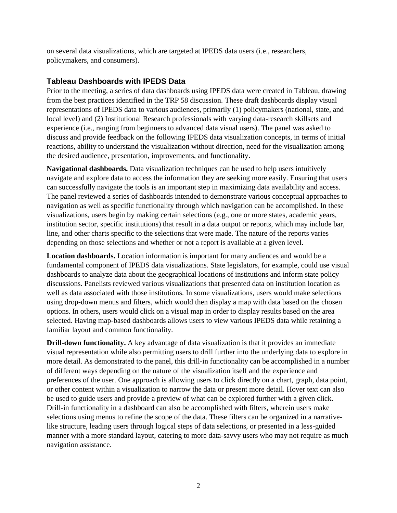on several data visualizations, which are targeted at IPEDS data users (i.e., researchers, policymakers, and consumers).

#### **Tableau Dashboards with IPEDS Data**

Prior to the meeting, a series of data dashboards using IPEDS data were created in Tableau, drawing from the best practices identified in the TRP 58 discussion. These draft dashboards display visual representations of IPEDS data to various audiences, primarily (1) policymakers (national, state, and local level) and (2) Institutional Research professionals with varying data-research skillsets and experience (i.e., ranging from beginners to advanced data visual users). The panel was asked to discuss and provide feedback on the following IPEDS data visualization concepts, in terms of initial reactions, ability to understand the visualization without direction, need for the visualization among the desired audience, presentation, improvements, and functionality.

**Navigational dashboards.** Data visualization techniques can be used to help users intuitively navigate and explore data to access the information they are seeking more easily. Ensuring that users can successfully navigate the tools is an important step in maximizing data availability and access. The panel reviewed a series of dashboards intended to demonstrate various conceptual approaches to navigation as well as specific functionality through which navigation can be accomplished. In these visualizations, users begin by making certain selections (e.g., one or more states, academic years, institution sector, specific institutions) that result in a data output or reports, which may include bar, line, and other charts specific to the selections that were made. The nature of the reports varies depending on those selections and whether or not a report is available at a given level.

**Location dashboards.** Location information is important for many audiences and would be a fundamental component of IPEDS data visualizations. State legislators, for example, could use visual dashboards to analyze data about the geographical locations of institutions and inform state policy discussions. Panelists reviewed various visualizations that presented data on institution location as well as data associated with those institutions. In some visualizations, users would make selections using drop-down menus and filters, which would then display a map with data based on the chosen options. In others, users would click on a visual map in order to display results based on the area selected. Having map-based dashboards allows users to view various IPEDS data while retaining a familiar layout and common functionality.

**Drill-down functionality.** A key advantage of data visualization is that it provides an immediate visual representation while also permitting users to drill further into the underlying data to explore in more detail. As demonstrated to the panel, this drill-in functionality can be accomplished in a number of different ways depending on the nature of the visualization itself and the experience and preferences of the user. One approach is allowing users to click directly on a chart, graph, data point, or other content within a visualization to narrow the data or present more detail. Hover text can also be used to guide users and provide a preview of what can be explored further with a given click. Drill-in functionality in a dashboard can also be accomplished with filters, wherein users make selections using menus to refine the scope of the data. These filters can be organized in a narrativelike structure, leading users through logical steps of data selections, or presented in a less-guided manner with a more standard layout, catering to more data-savvy users who may not require as much navigation assistance.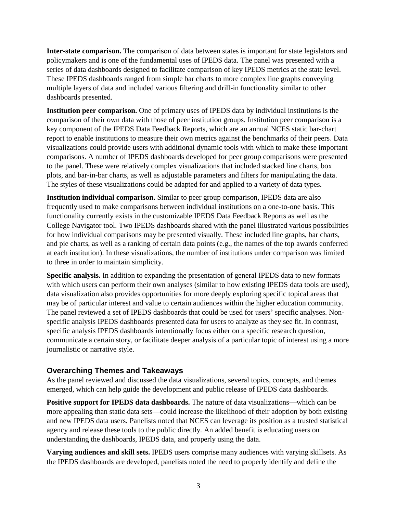**Inter-state comparison.** The comparison of data between states is important for state legislators and policymakers and is one of the fundamental uses of IPEDS data. The panel was presented with a series of data dashboards designed to facilitate comparison of key IPEDS metrics at the state level. These IPEDS dashboards ranged from simple bar charts to more complex line graphs conveying multiple layers of data and included various filtering and drill-in functionality similar to other dashboards presented.

**Institution peer comparison.** One of primary uses of IPEDS data by individual institutions is the comparison of their own data with those of peer institution groups. Institution peer comparison is a key component of the IPEDS Data Feedback Reports, which are an annual NCES static bar-chart report to enable institutions to measure their own metrics against the benchmarks of their peers. Data visualizations could provide users with additional dynamic tools with which to make these important comparisons. A number of IPEDS dashboards developed for peer group comparisons were presented to the panel. These were relatively complex visualizations that included stacked line charts, box plots, and bar-in-bar charts, as well as adjustable parameters and filters for manipulating the data. The styles of these visualizations could be adapted for and applied to a variety of data types.

**Institution individual comparison.** Similar to peer group comparison, IPEDS data are also frequently used to make comparisons between individual institutions on a one-to-one basis. This functionality currently exists in the customizable IPEDS Data Feedback Reports as well as the College Navigator tool. Two IPEDS dashboards shared with the panel illustrated various possibilities for how individual comparisons may be presented visually. These included line graphs, bar charts, and pie charts, as well as a ranking of certain data points (e.g., the names of the top awards conferred at each institution). In these visualizations, the number of institutions under comparison was limited to three in order to maintain simplicity.

**Specific analysis.** In addition to expanding the presentation of general IPEDS data to new formats with which users can perform their own analyses (similar to how existing IPEDS data tools are used), data visualization also provides opportunities for more deeply exploring specific topical areas that may be of particular interest and value to certain audiences within the higher education community. The panel reviewed a set of IPEDS dashboards that could be used for users' specific analyses. Nonspecific analysis IPEDS dashboards presented data for users to analyze as they see fit. In contrast, specific analysis IPEDS dashboards intentionally focus either on a specific research question, communicate a certain story, or facilitate deeper analysis of a particular topic of interest using a more journalistic or narrative style.

### **Overarching Themes and Takeaways**

As the panel reviewed and discussed the data visualizations, several topics, concepts, and themes emerged, which can help guide the development and public release of IPEDS data dashboards.

**Positive support for IPEDS data dashboards.** The nature of data visualizations—which can be more appealing than static data sets—could increase the likelihood of their adoption by both existing and new IPEDS data users. Panelists noted that NCES can leverage its position as a trusted statistical agency and release these tools to the public directly. An added benefit is educating users on understanding the dashboards, IPEDS data, and properly using the data.

**Varying audiences and skill sets.** IPEDS users comprise many audiences with varying skillsets. As the IPEDS dashboards are developed, panelists noted the need to properly identify and define the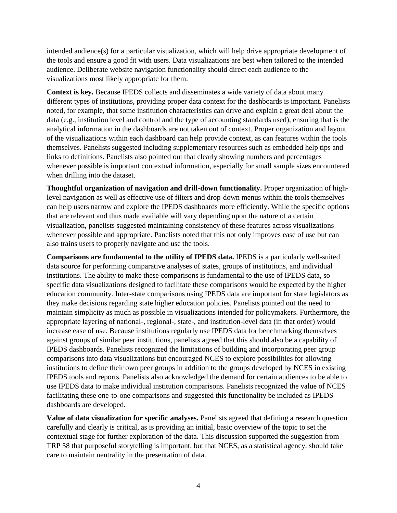intended audience(s) for a particular visualization, which will help drive appropriate development of the tools and ensure a good fit with users. Data visualizations are best when tailored to the intended audience. Deliberate website navigation functionality should direct each audience to the visualizations most likely appropriate for them.

**Context is key.** Because IPEDS collects and disseminates a wide variety of data about many different types of institutions, providing proper data context for the dashboards is important. Panelists noted, for example, that some institution characteristics can drive and explain a great deal about the data (e.g., institution level and control and the type of accounting standards used), ensuring that is the analytical information in the dashboards are not taken out of context. Proper organization and layout of the visualizations within each dashboard can help provide context, as can features within the tools themselves. Panelists suggested including supplementary resources such as embedded help tips and links to definitions. Panelists also pointed out that clearly showing numbers and percentages whenever possible is important contextual information, especially for small sample sizes encountered when drilling into the dataset.

**Thoughtful organization of navigation and drill-down functionality.** Proper organization of highlevel navigation as well as effective use of filters and drop-down menus within the tools themselves can help users narrow and explore the IPEDS dashboards more efficiently. While the specific options that are relevant and thus made available will vary depending upon the nature of a certain visualization, panelists suggested maintaining consistency of these features across visualizations whenever possible and appropriate. Panelists noted that this not only improves ease of use but can also trains users to properly navigate and use the tools.

**Comparisons are fundamental to the utility of IPEDS data.** IPEDS is a particularly well-suited data source for performing comparative analyses of states, groups of institutions, and individual institutions. The ability to make these comparisons is fundamental to the use of IPEDS data, so specific data visualizations designed to facilitate these comparisons would be expected by the higher education community. Inter-state comparisons using IPEDS data are important for state legislators as they make decisions regarding state higher education policies. Panelists pointed out the need to maintain simplicity as much as possible in visualizations intended for policymakers. Furthermore, the appropriate layering of national-, regional-, state-, and institution-level data (in that order) would increase ease of use. Because institutions regularly use IPEDS data for benchmarking themselves against groups of similar peer institutions, panelists agreed that this should also be a capability of IPEDS dashboards. Panelists recognized the limitations of building and incorporating peer group comparisons into data visualizations but encouraged NCES to explore possibilities for allowing institutions to define their own peer groups in addition to the groups developed by NCES in existing IPEDS tools and reports. Panelists also acknowledged the demand for certain audiences to be able to use IPEDS data to make individual institution comparisons. Panelists recognized the value of NCES facilitating these one-to-one comparisons and suggested this functionality be included as IPEDS dashboards are developed.

**Value of data visualization for specific analyses.** Panelists agreed that defining a research question carefully and clearly is critical, as is providing an initial, basic overview of the topic to set the contextual stage for further exploration of the data. This discussion supported the suggestion from TRP 58 that purposeful storytelling is important, but that NCES, as a statistical agency, should take care to maintain neutrality in the presentation of data.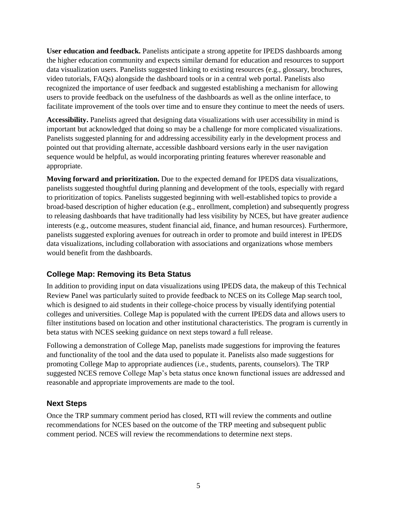**User education and feedback.** Panelists anticipate a strong appetite for IPEDS dashboards among the higher education community and expects similar demand for education and resources to support data visualization users. Panelists suggested linking to existing resources (e.g., glossary, brochures, video tutorials, FAQs) alongside the dashboard tools or in a central web portal. Panelists also recognized the importance of user feedback and suggested establishing a mechanism for allowing users to provide feedback on the usefulness of the dashboards as well as the online interface, to facilitate improvement of the tools over time and to ensure they continue to meet the needs of users.

**Accessibility.** Panelists agreed that designing data visualizations with user accessibility in mind is important but acknowledged that doing so may be a challenge for more complicated visualizations. Panelists suggested planning for and addressing accessibility early in the development process and pointed out that providing alternate, accessible dashboard versions early in the user navigation sequence would be helpful, as would incorporating printing features wherever reasonable and appropriate.

**Moving forward and prioritization.** Due to the expected demand for IPEDS data visualizations, panelists suggested thoughtful during planning and development of the tools, especially with regard to prioritization of topics. Panelists suggested beginning with well-established topics to provide a broad-based description of higher education (e.g., enrollment, completion) and subsequently progress to releasing dashboards that have traditionally had less visibility by NCES, but have greater audience interests (e.g., outcome measures, student financial aid, finance, and human resources). Furthermore, panelists suggested exploring avenues for outreach in order to promote and build interest in IPEDS data visualizations, including collaboration with associations and organizations whose members would benefit from the dashboards.

### **College Map: Removing its Beta Status**

In addition to providing input on data visualizations using IPEDS data, the makeup of this Technical Review Panel was particularly suited to provide feedback to NCES on its College Map search tool, which is designed to aid students in their college-choice process by visually identifying potential colleges and universities. College Map is populated with the current IPEDS data and allows users to filter institutions based on location and other institutional characteristics. The program is currently in beta status with NCES seeking guidance on next steps toward a full release.

Following a demonstration of College Map, panelists made suggestions for improving the features and functionality of the tool and the data used to populate it. Panelists also made suggestions for promoting College Map to appropriate audiences (i.e., students, parents, counselors). The TRP suggested NCES remove College Map's beta status once known functional issues are addressed and reasonable and appropriate improvements are made to the tool.

### **Next Steps**

Once the TRP summary comment period has closed, RTI will review the comments and outline recommendations for NCES based on the outcome of the TRP meeting and subsequent public comment period. NCES will review the recommendations to determine next steps.